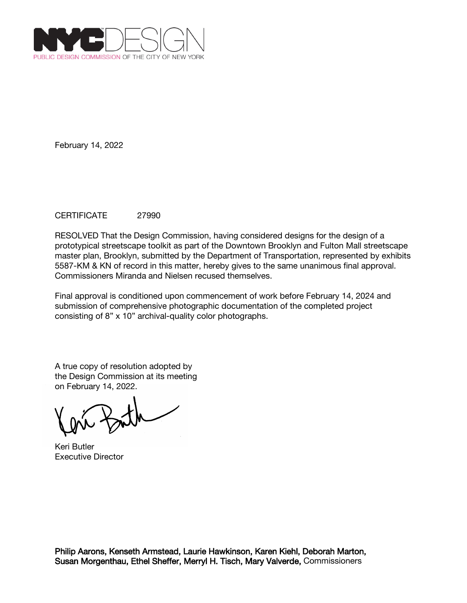

## CERTIFICATE 27990

RESOLVED That the Design Commission, having considered designs for the design of a prototypical streetscape toolkit as part of the Downtown Brooklyn and Fulton Mall streetscape master plan, Brooklyn, submitted by the Department of Transportation, represented by exhibits 5587-KM & KN of record in this matter, hereby gives to the same unanimous final approval. Commissioners Miranda and Nielsen recused themselves.

Final approval is conditioned upon commencement of work before February 14, 2024 and submission of comprehensive photographic documentation of the completed project consisting of 8" x 10" archival-quality color photographs.

Keri Butler Executive Director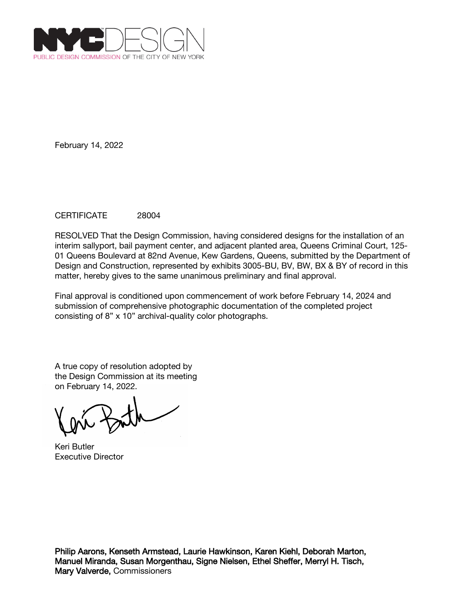

# CERTIFICATE 28004

RESOLVED That the Design Commission, having considered designs for the installation of an interim sallyport, bail payment center, and adjacent planted area, Queens Criminal Court, 125- 01 Queens Boulevard at 82nd Avenue, Kew Gardens, Queens, submitted by the Department of Design and Construction, represented by exhibits 3005-BU, BV, BW, BX & BY of record in this matter, hereby gives to the same unanimous preliminary and final approval.

Final approval is conditioned upon commencement of work before February 14, 2024 and submission of comprehensive photographic documentation of the completed project consisting of 8" x 10" archival-quality color photographs.

A true copy of resolution adopted by the Design Commission at its meeting on February 14, 2022.

Keri Butler Executive Director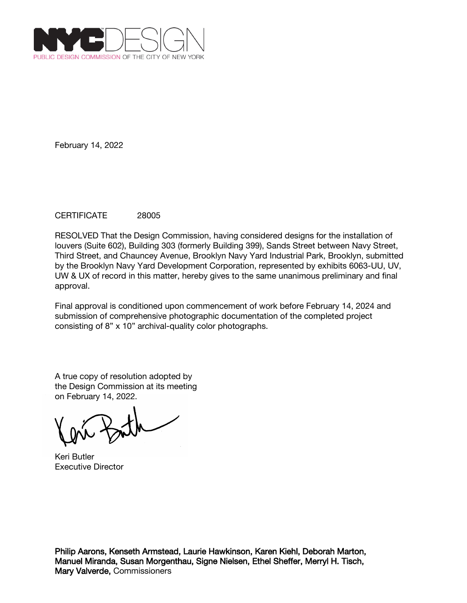

## CERTIFICATE 28005

RESOLVED That the Design Commission, having considered designs for the installation of louvers (Suite 602), Building 303 (formerly Building 399), Sands Street between Navy Street, Third Street, and Chauncey Avenue, Brooklyn Navy Yard Industrial Park, Brooklyn, submitted by the Brooklyn Navy Yard Development Corporation, represented by exhibits 6063-UU, UV, UW & UX of record in this matter, hereby gives to the same unanimous preliminary and final approval.

Final approval is conditioned upon commencement of work before February 14, 2024 and submission of comprehensive photographic documentation of the completed project consisting of 8" x 10" archival-quality color photographs.

A true copy of resolution adopted by the Design Commission at its meeting on February 14, 2022.

Keri Butler Executive Director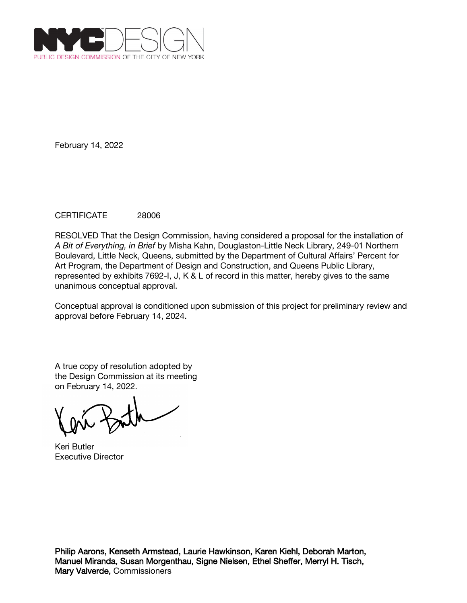

## CERTIFICATE 28006

RESOLVED That the Design Commission, having considered a proposal for the installation of *A Bit of Everything, in Brief* by Misha Kahn, Douglaston-Little Neck Library, 249-01 Northern Boulevard, Little Neck, Queens, submitted by the Department of Cultural Affairs' Percent for Art Program, the Department of Design and Construction, and Queens Public Library, represented by exhibits 7692-I, J, K & L of record in this matter, hereby gives to the same unanimous conceptual approval.

Conceptual approval is conditioned upon submission of this project for preliminary review and approval before February 14, 2024.

Keri Butler Executive Director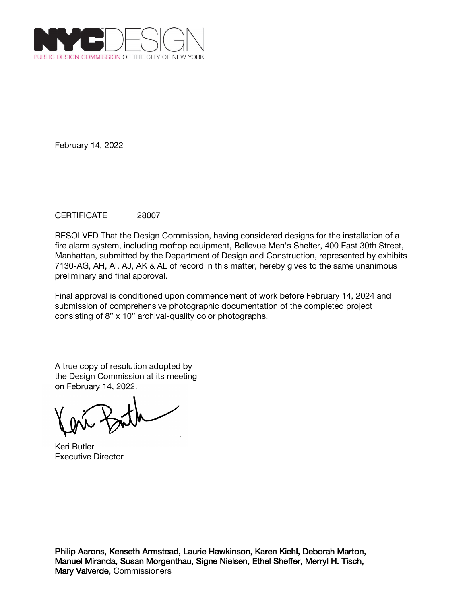

## CERTIFICATE 28007

RESOLVED That the Design Commission, having considered designs for the installation of a fire alarm system, including rooftop equipment, Bellevue Men's Shelter, 400 East 30th Street, Manhattan, submitted by the Department of Design and Construction, represented by exhibits 7130-AG, AH, AI, AJ, AK & AL of record in this matter, hereby gives to the same unanimous preliminary and final approval.

Final approval is conditioned upon commencement of work before February 14, 2024 and submission of comprehensive photographic documentation of the completed project consisting of 8" x 10" archival-quality color photographs.

A true copy of resolution adopted by the Design Commission at its meeting on February 14, 2022.

Keri Butler Executive Director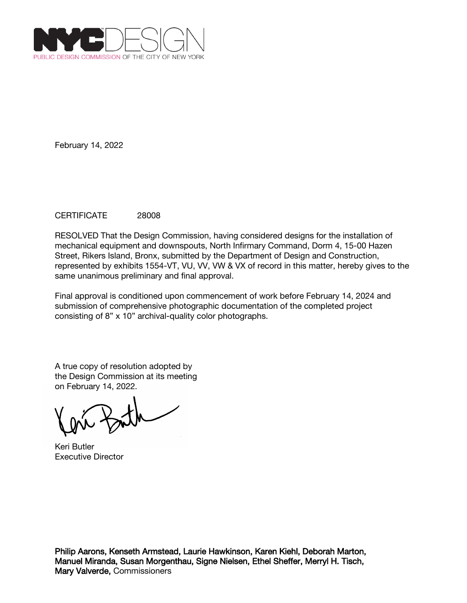

## CERTIFICATE 28008

RESOLVED That the Design Commission, having considered designs for the installation of mechanical equipment and downspouts, North Infirmary Command, Dorm 4, 15-00 Hazen Street, Rikers Island, Bronx, submitted by the Department of Design and Construction, represented by exhibits 1554-VT, VU, VV, VW & VX of record in this matter, hereby gives to the same unanimous preliminary and final approval.

Final approval is conditioned upon commencement of work before February 14, 2024 and submission of comprehensive photographic documentation of the completed project consisting of 8" x 10" archival-quality color photographs.

A true copy of resolution adopted by the Design Commission at its meeting on February 14, 2022.

Keri Butler Executive Director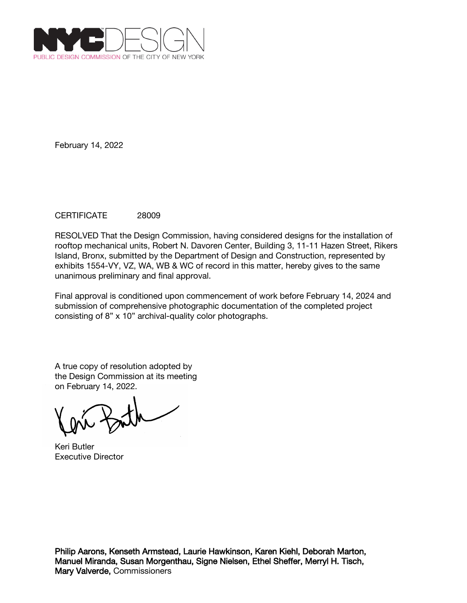

## CERTIFICATE 28009

RESOLVED That the Design Commission, having considered designs for the installation of rooftop mechanical units, Robert N. Davoren Center, Building 3, 11-11 Hazen Street, Rikers Island, Bronx, submitted by the Department of Design and Construction, represented by exhibits 1554-VY, VZ, WA, WB & WC of record in this matter, hereby gives to the same unanimous preliminary and final approval.

Final approval is conditioned upon commencement of work before February 14, 2024 and submission of comprehensive photographic documentation of the completed project consisting of 8" x 10" archival-quality color photographs.

A true copy of resolution adopted by the Design Commission at its meeting on February 14, 2022.

Keri Butler Executive Director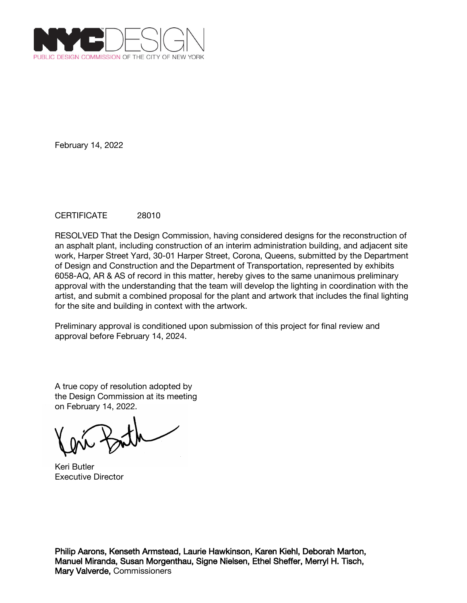

## CERTIFICATE 28010

RESOLVED That the Design Commission, having considered designs for the reconstruction of an asphalt plant, including construction of an interim administration building, and adjacent site work, Harper Street Yard, 30-01 Harper Street, Corona, Queens, submitted by the Department of Design and Construction and the Department of Transportation, represented by exhibits 6058-AQ, AR & AS of record in this matter, hereby gives to the same unanimous preliminary approval with the understanding that the team will develop the lighting in coordination with the artist, and submit a combined proposal for the plant and artwork that includes the final lighting for the site and building in context with the artwork.

Preliminary approval is conditioned upon submission of this project for final review and approval before February 14, 2024.

A true copy of resolution adopted by the Design Commission at its meeting on February 14, 2022.

Keri Butler Executive Director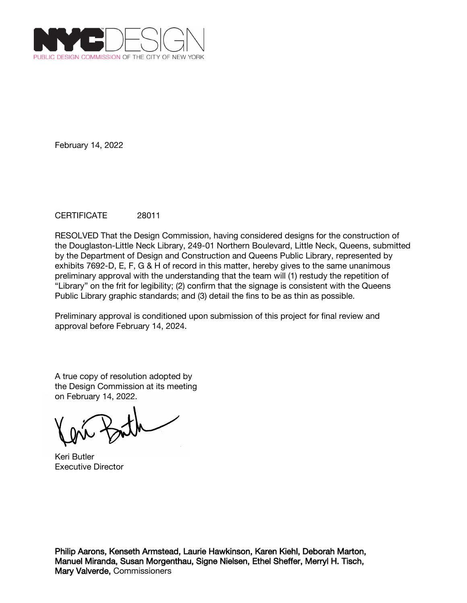

## CERTIFICATE 28011

RESOLVED That the Design Commission, having considered designs for the construction of the Douglaston-Little Neck Library, 249-01 Northern Boulevard, Little Neck, Queens, submitted by the Department of Design and Construction and Queens Public Library, represented by exhibits 7692-D, E, F, G & H of record in this matter, hereby gives to the same unanimous preliminary approval with the understanding that the team will (1) restudy the repetition of "Library" on the frit for legibility; (2) confirm that the signage is consistent with the Queens Public Library graphic standards; and (3) detail the fins to be as thin as possible.

Preliminary approval is conditioned upon submission of this project for final review and approval before February 14, 2024.

A true copy of resolution adopted by the Design Commission at its meeting on February 14, 2022.

Keri Butler Executive Director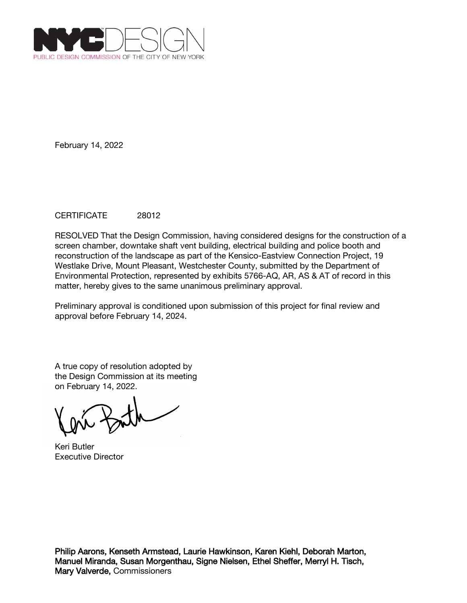

## CERTIFICATE 28012

RESOLVED That the Design Commission, having considered designs for the construction of a screen chamber, downtake shaft vent building, electrical building and police booth and reconstruction of the landscape as part of the Kensico-Eastview Connection Project, 19 Westlake Drive, Mount Pleasant, Westchester County, submitted by the Department of Environmental Protection, represented by exhibits 5766-AQ, AR, AS & AT of record in this matter, hereby gives to the same unanimous preliminary approval.

Preliminary approval is conditioned upon submission of this project for final review and approval before February 14, 2024.

A true copy of resolution adopted by the Design Commission at its meeting on February 14, 2022.

Keri Butler Executive Director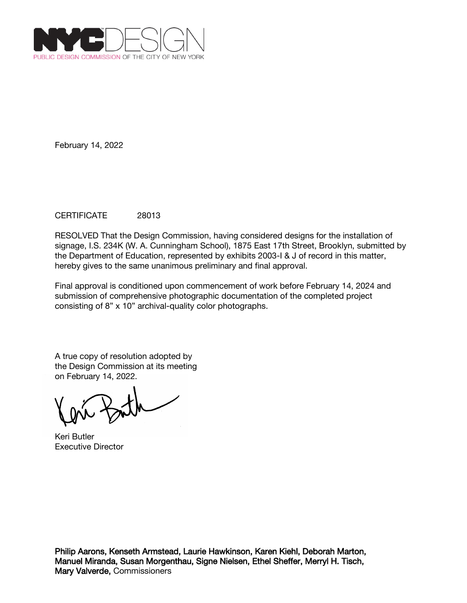

## CERTIFICATE 28013

RESOLVED That the Design Commission, having considered designs for the installation of signage, I.S. 234K (W. A. Cunningham School), 1875 East 17th Street, Brooklyn, submitted by the Department of Education, represented by exhibits 2003-I & J of record in this matter, hereby gives to the same unanimous preliminary and final approval.

Final approval is conditioned upon commencement of work before February 14, 2024 and submission of comprehensive photographic documentation of the completed project consisting of 8" x 10" archival-quality color photographs.

Keri Butler Executive Director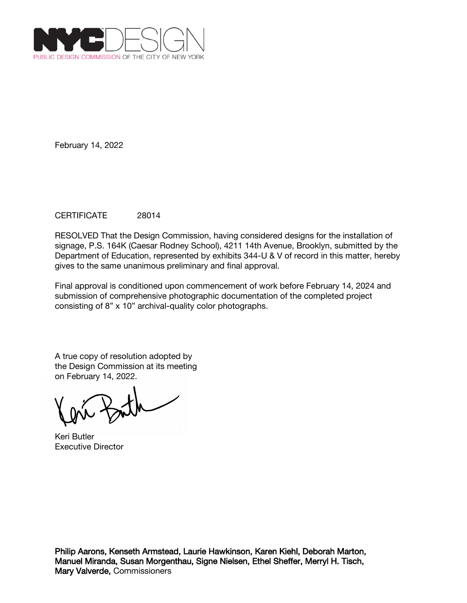

## CERTIFICATE 28014

RESOLVED That the Design Commission, having considered designs for the installation of signage, P.S. 164K (Caesar Rodney School), 4211 14th Avenue, Brooklyn, submitted by the Department of Education, represented by exhibits 344-U & V of record in this matter, hereby gives to the same unanimous preliminary and final approval.

Final approval is conditioned upon commencement of work before February 14, 2024 and submission of comprehensive photographic documentation of the completed project consisting of 8" x 10" archival-quality color photographs.

Keri Butler Executive Director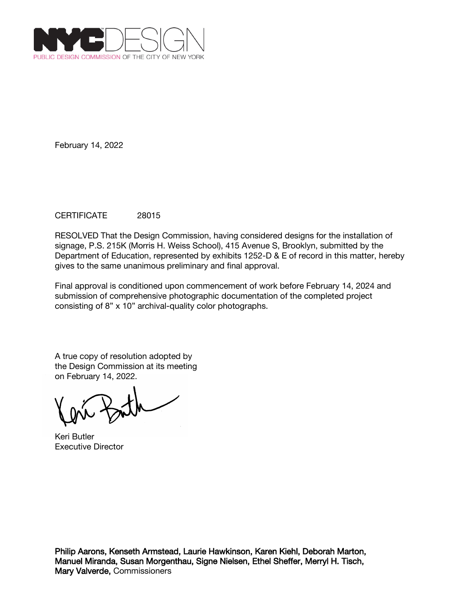

## CERTIFICATE 28015

RESOLVED That the Design Commission, having considered designs for the installation of signage, P.S. 215K (Morris H. Weiss School), 415 Avenue S, Brooklyn, submitted by the Department of Education, represented by exhibits 1252-D & E of record in this matter, hereby gives to the same unanimous preliminary and final approval.

Final approval is conditioned upon commencement of work before February 14, 2024 and submission of comprehensive photographic documentation of the completed project consisting of 8" x 10" archival-quality color photographs.

Keri Butler Executive Director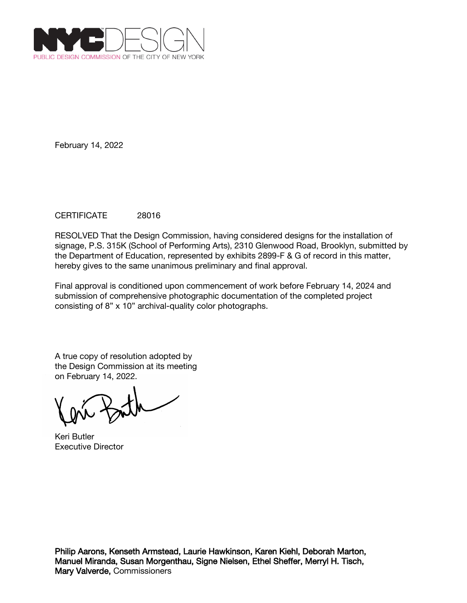

## CERTIFICATE 28016

RESOLVED That the Design Commission, having considered designs for the installation of signage, P.S. 315K (School of Performing Arts), 2310 Glenwood Road, Brooklyn, submitted by the Department of Education, represented by exhibits 2899-F & G of record in this matter, hereby gives to the same unanimous preliminary and final approval.

Final approval is conditioned upon commencement of work before February 14, 2024 and submission of comprehensive photographic documentation of the completed project consisting of 8" x 10" archival-quality color photographs.

Keri Butler Executive Director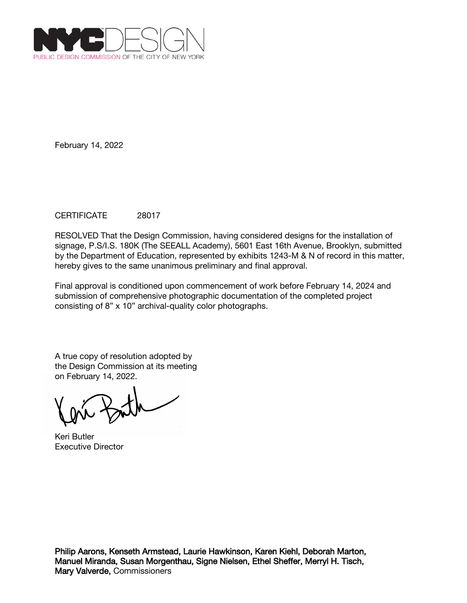

## CERTIFICATE 28017

RESOLVED That the Design Commission, having considered designs for the installation of signage, P.S/I.S. 180K (The SEEALL Academy), 5601 East 16th Avenue, Brooklyn, submitted by the Department of Education, represented by exhibits 1243-M & N of record in this matter, hereby gives to the same unanimous preliminary and final approval.

Final approval is conditioned upon commencement of work before February 14, 2024 and submission of comprehensive photographic documentation of the completed project consisting of 8" x 10" archival-quality color photographs.

Keri Butler Executive Director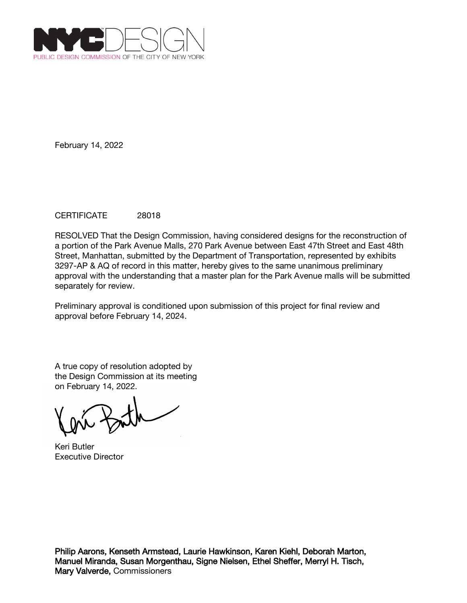

## CERTIFICATE 28018

RESOLVED That the Design Commission, having considered designs for the reconstruction of a portion of the Park Avenue Malls, 270 Park Avenue between East 47th Street and East 48th Street, Manhattan, submitted by the Department of Transportation, represented by exhibits 3297-AP & AQ of record in this matter, hereby gives to the same unanimous preliminary approval with the understanding that a master plan for the Park Avenue malls will be submitted separately for review.

Preliminary approval is conditioned upon submission of this project for final review and approval before February 14, 2024.

A true copy of resolution adopted by the Design Commission at its meeting on February 14, 2022.

Keri Butler Executive Director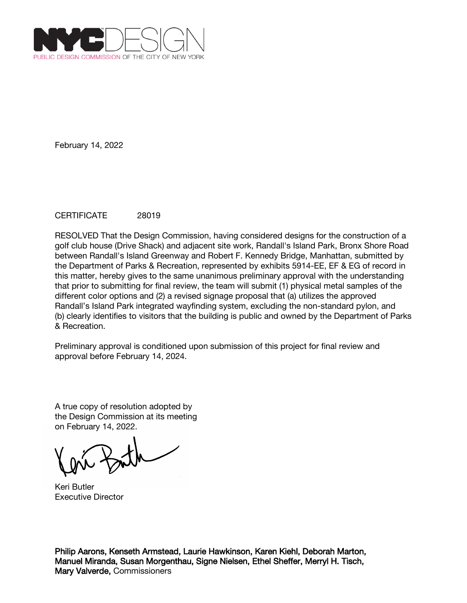

## CERTIFICATE 28019

RESOLVED That the Design Commission, having considered designs for the construction of a golf club house (Drive Shack) and adjacent site work, Randall's Island Park, Bronx Shore Road between Randall's Island Greenway and Robert F. Kennedy Bridge, Manhattan, submitted by the Department of Parks & Recreation, represented by exhibits 5914-EE, EF & EG of record in this matter, hereby gives to the same unanimous preliminary approval with the understanding that prior to submitting for final review, the team will submit (1) physical metal samples of the different color options and (2) a revised signage proposal that (a) utilizes the approved Randall's Island Park integrated wayfinding system, excluding the non-standard pylon, and (b) clearly identifies to visitors that the building is public and owned by the Department of Parks & Recreation.

Preliminary approval is conditioned upon submission of this project for final review and approval before February 14, 2024.

A true copy of resolution adopted by the Design Commission at its meeting on February 14, 2022.

Keri Butler Executive Director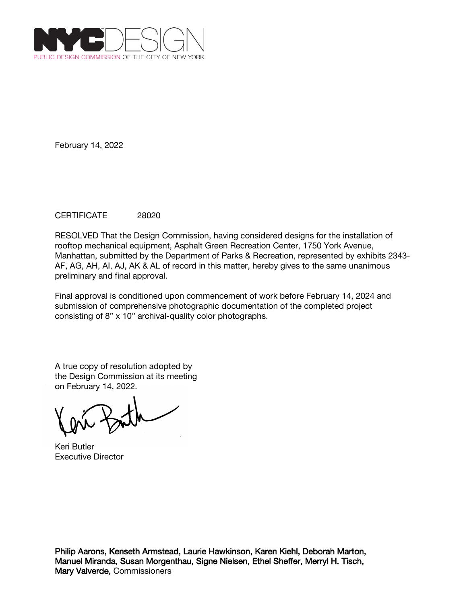

## CERTIFICATE 28020

RESOLVED That the Design Commission, having considered designs for the installation of rooftop mechanical equipment, Asphalt Green Recreation Center, 1750 York Avenue, Manhattan, submitted by the Department of Parks & Recreation, represented by exhibits 2343- AF, AG, AH, AI, AJ, AK & AL of record in this matter, hereby gives to the same unanimous preliminary and final approval.

Final approval is conditioned upon commencement of work before February 14, 2024 and submission of comprehensive photographic documentation of the completed project consisting of 8" x 10" archival-quality color photographs.

A true copy of resolution adopted by the Design Commission at its meeting on February 14, 2022.

Keri Butler Executive Director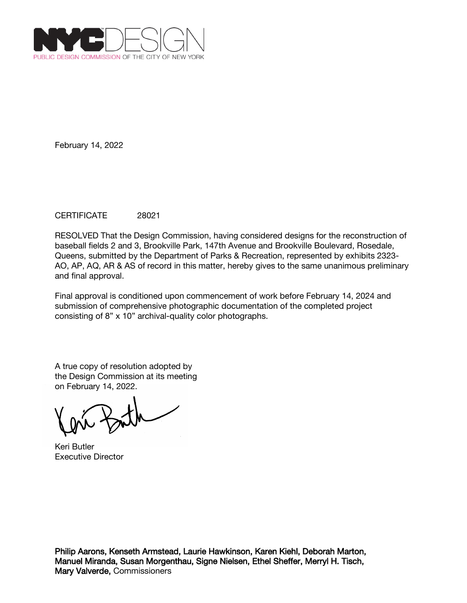

## CERTIFICATE 28021

RESOLVED That the Design Commission, having considered designs for the reconstruction of baseball fields 2 and 3, Brookville Park, 147th Avenue and Brookville Boulevard, Rosedale, Queens, submitted by the Department of Parks & Recreation, represented by exhibits 2323- AO, AP, AQ, AR & AS of record in this matter, hereby gives to the same unanimous preliminary and final approval.

Final approval is conditioned upon commencement of work before February 14, 2024 and submission of comprehensive photographic documentation of the completed project consisting of 8" x 10" archival-quality color photographs.

A true copy of resolution adopted by the Design Commission at its meeting on February 14, 2022.

Keri Butler Executive Director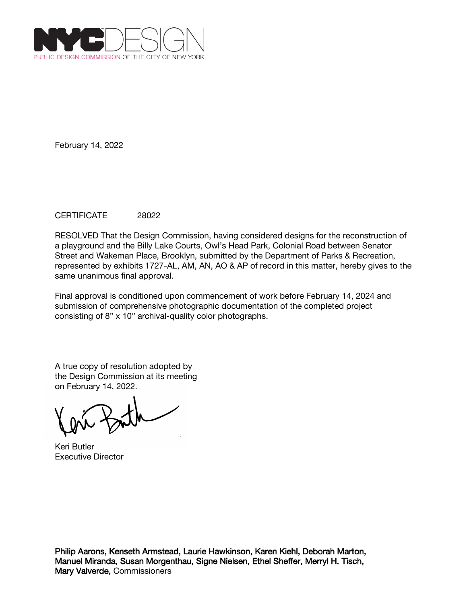

## CERTIFICATE 28022

RESOLVED That the Design Commission, having considered designs for the reconstruction of a playground and the Billy Lake Courts, Owl's Head Park, Colonial Road between Senator Street and Wakeman Place, Brooklyn, submitted by the Department of Parks & Recreation, represented by exhibits 1727-AL, AM, AN, AO & AP of record in this matter, hereby gives to the same unanimous final approval.

Final approval is conditioned upon commencement of work before February 14, 2024 and submission of comprehensive photographic documentation of the completed project consisting of 8" x 10" archival-quality color photographs.

A true copy of resolution adopted by the Design Commission at its meeting on February 14, 2022.

Keri Butler Executive Director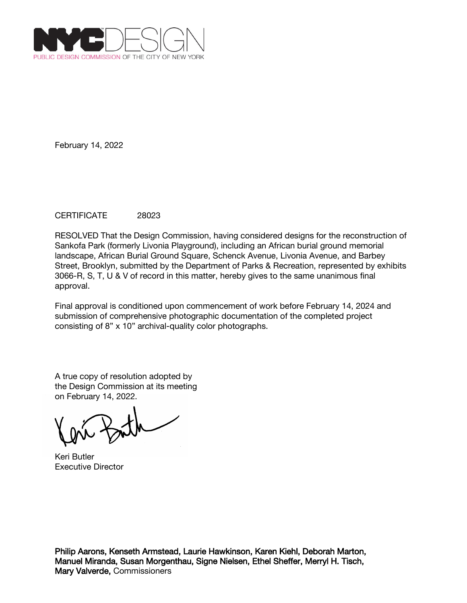

## CERTIFICATE 28023

RESOLVED That the Design Commission, having considered designs for the reconstruction of Sankofa Park (formerly Livonia Playground), including an African burial ground memorial landscape, African Burial Ground Square, Schenck Avenue, Livonia Avenue, and Barbey Street, Brooklyn, submitted by the Department of Parks & Recreation, represented by exhibits 3066-R, S, T, U & V of record in this matter, hereby gives to the same unanimous final approval.

Final approval is conditioned upon commencement of work before February 14, 2024 and submission of comprehensive photographic documentation of the completed project consisting of 8" x 10" archival-quality color photographs.

A true copy of resolution adopted by the Design Commission at its meeting on February 14, 2022.

Keri Butler Executive Director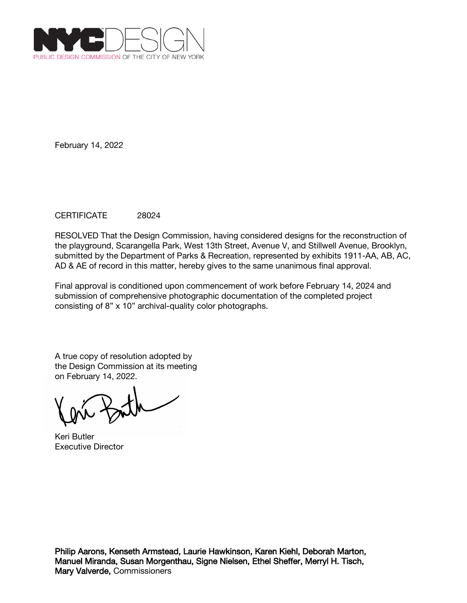

### CERTIFICATE 28024

RESOLVED That the Design Commission, having considered designs for the reconstruction of the playground, Scarangella Park, West 13th Street, Avenue V, and Stillwell Avenue, Brooklyn, submitted by the Department of Parks & Recreation, represented by exhibits 1911-AA, AB, AC, AD & AE of record in this matter, hereby gives to the same unanimous final approval.

Final approval is conditioned upon commencement of work before February 14, 2024 and submission of comprehensive photographic documentation of the completed project consisting of 8" x 10" archival-quality color photographs.

Keri Butler Executive Director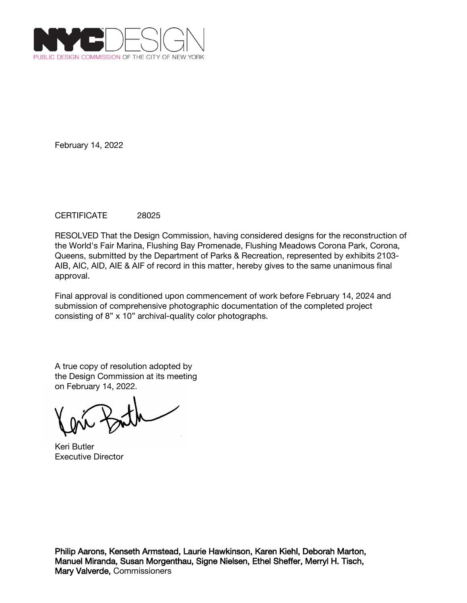

## CERTIFICATE 28025

RESOLVED That the Design Commission, having considered designs for the reconstruction of the World's Fair Marina, Flushing Bay Promenade, Flushing Meadows Corona Park, Corona, Queens, submitted by the Department of Parks & Recreation, represented by exhibits 2103- AIB, AIC, AID, AIE & AIF of record in this matter, hereby gives to the same unanimous final approval.

Final approval is conditioned upon commencement of work before February 14, 2024 and submission of comprehensive photographic documentation of the completed project consisting of 8" x 10" archival-quality color photographs.

A true copy of resolution adopted by the Design Commission at its meeting on February 14, 2022.

Keri Butler Executive Director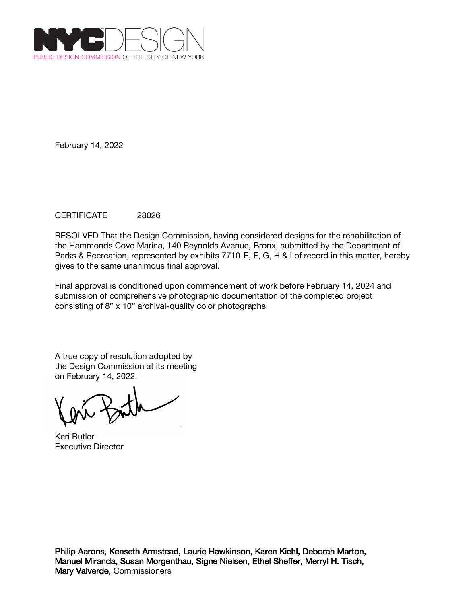

### CERTIFICATE 28026

RESOLVED That the Design Commission, having considered designs for the rehabilitation of the Hammonds Cove Marina, 140 Reynolds Avenue, Bronx, submitted by the Department of Parks & Recreation, represented by exhibits 7710-E, F, G, H & I of record in this matter, hereby gives to the same unanimous final approval.

Final approval is conditioned upon commencement of work before February 14, 2024 and submission of comprehensive photographic documentation of the completed project consisting of 8" x 10" archival-quality color photographs.

Keri Butler Executive Director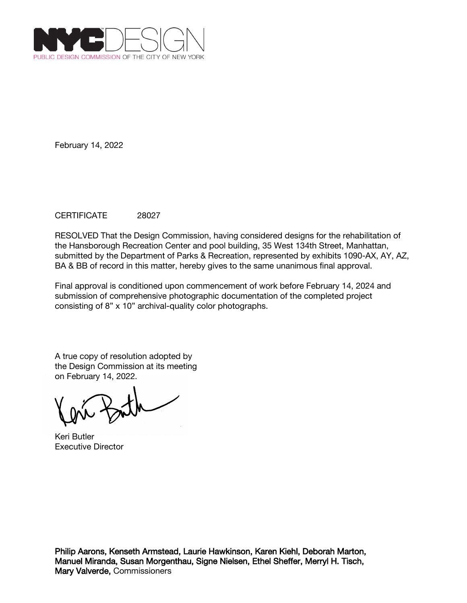

## CERTIFICATE 28027

RESOLVED That the Design Commission, having considered designs for the rehabilitation of the Hansborough Recreation Center and pool building, 35 West 134th Street, Manhattan, submitted by the Department of Parks & Recreation, represented by exhibits 1090-AX, AY, AZ, BA & BB of record in this matter, hereby gives to the same unanimous final approval.

Final approval is conditioned upon commencement of work before February 14, 2024 and submission of comprehensive photographic documentation of the completed project consisting of 8" x 10" archival-quality color photographs.

Keri Butler Executive Director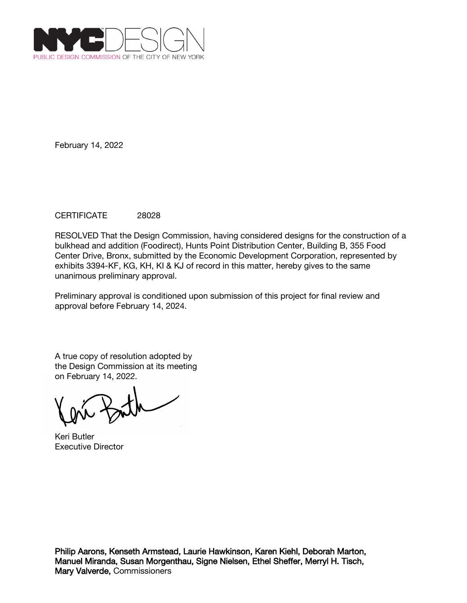

# CERTIFICATE 28028

RESOLVED That the Design Commission, having considered designs for the construction of a bulkhead and addition (Foodirect), Hunts Point Distribution Center, Building B, 355 Food Center Drive, Bronx, submitted by the Economic Development Corporation, represented by exhibits 3394-KF, KG, KH, KI & KJ of record in this matter, hereby gives to the same unanimous preliminary approval.

Preliminary approval is conditioned upon submission of this project for final review and approval before February 14, 2024.

Keri Butler Executive Director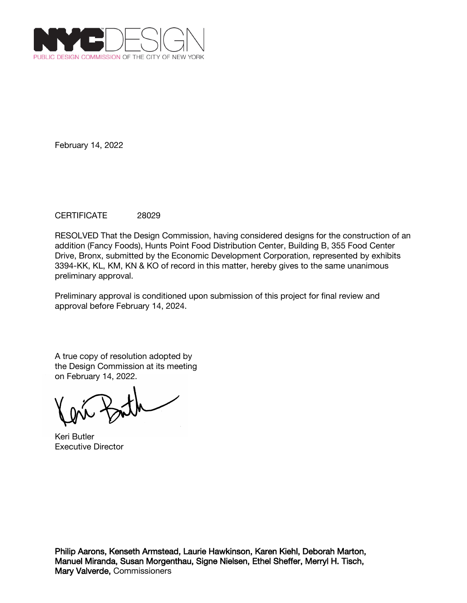

## CERTIFICATE 28029

RESOLVED That the Design Commission, having considered designs for the construction of an addition (Fancy Foods), Hunts Point Food Distribution Center, Building B, 355 Food Center Drive, Bronx, submitted by the Economic Development Corporation, represented by exhibits 3394-KK, KL, KM, KN & KO of record in this matter, hereby gives to the same unanimous preliminary approval.

Preliminary approval is conditioned upon submission of this project for final review and approval before February 14, 2024.

Keri Butler Executive Director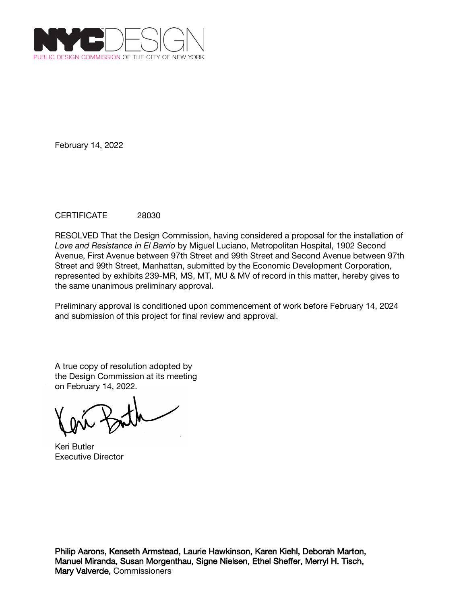

## CERTIFICATE 28030

RESOLVED That the Design Commission, having considered a proposal for the installation of *Love and Resistance in El Barrio* by Miguel Luciano, Metropolitan Hospital, 1902 Second Avenue, First Avenue between 97th Street and 99th Street and Second Avenue between 97th Street and 99th Street, Manhattan, submitted by the Economic Development Corporation, represented by exhibits 239-MR, MS, MT, MU & MV of record in this matter, hereby gives to the same unanimous preliminary approval.

Preliminary approval is conditioned upon commencement of work before February 14, 2024 and submission of this project for final review and approval.

A true copy of resolution adopted by the Design Commission at its meeting on February 14, 2022.

Keri Butler Executive Director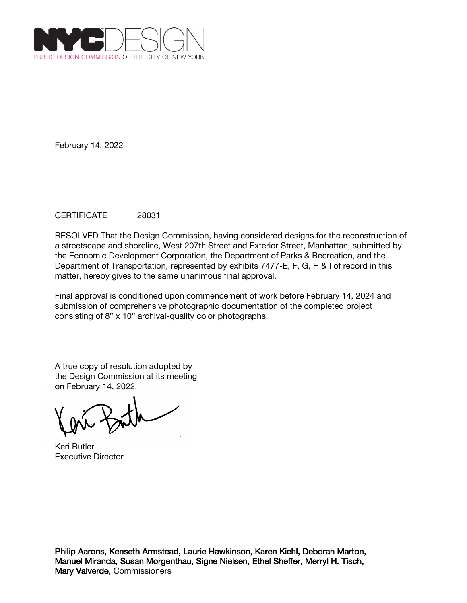

## CERTIFICATE 28031

RESOLVED That the Design Commission, having considered designs for the reconstruction of a streetscape and shoreline, West 207th Street and Exterior Street, Manhattan, submitted by the Economic Development Corporation, the Department of Parks & Recreation, and the Department of Transportation, represented by exhibits 7477-E, F, G, H & I of record in this matter, hereby gives to the same unanimous final approval.

Final approval is conditioned upon commencement of work before February 14, 2024 and submission of comprehensive photographic documentation of the completed project consisting of 8" x 10" archival-quality color photographs.

A true copy of resolution adopted by the Design Commission at its meeting on February 14, 2022.

Keri Butler Executive Director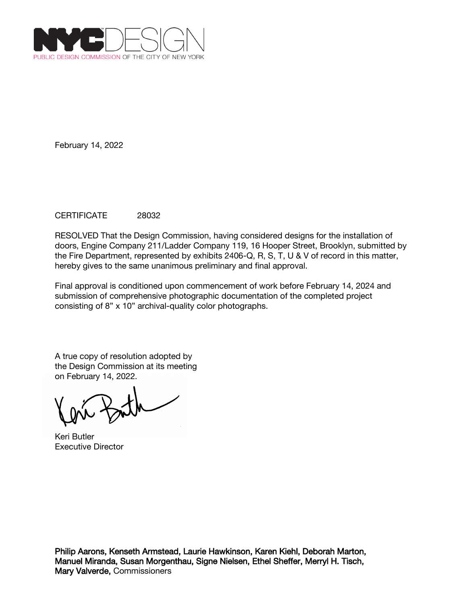

## CERTIFICATE 28032

RESOLVED That the Design Commission, having considered designs for the installation of doors, Engine Company 211/Ladder Company 119, 16 Hooper Street, Brooklyn, submitted by the Fire Department, represented by exhibits 2406-Q, R, S, T, U & V of record in this matter, hereby gives to the same unanimous preliminary and final approval.

Final approval is conditioned upon commencement of work before February 14, 2024 and submission of comprehensive photographic documentation of the completed project consisting of 8" x 10" archival-quality color photographs.

Keri Butler Executive Director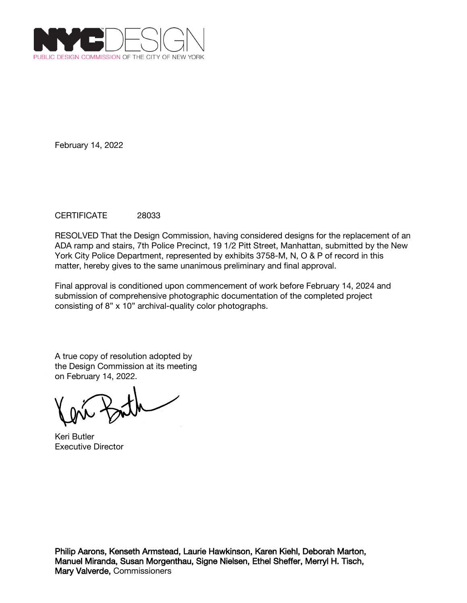

## CERTIFICATE 28033

RESOLVED That the Design Commission, having considered designs for the replacement of an ADA ramp and stairs, 7th Police Precinct, 19 1/2 Pitt Street, Manhattan, submitted by the New York City Police Department, represented by exhibits 3758-M, N, O & P of record in this matter, hereby gives to the same unanimous preliminary and final approval.

Final approval is conditioned upon commencement of work before February 14, 2024 and submission of comprehensive photographic documentation of the completed project consisting of 8" x 10" archival-quality color photographs.

Keri Butler Executive Director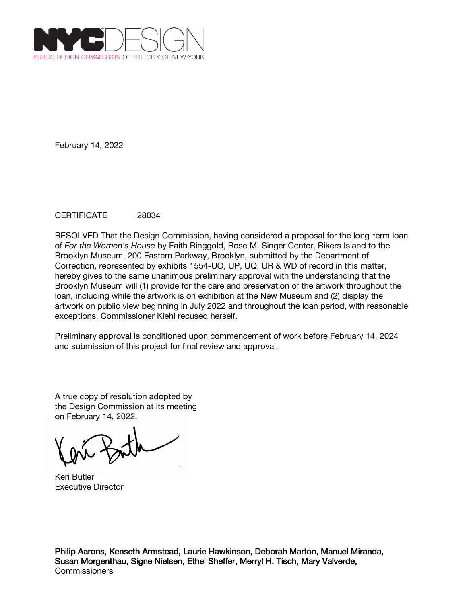

## CERTIFICATE 28034

RESOLVED That the Design Commission, having considered a proposal for the long-term loan of *For the Women's House* by Faith Ringgold, Rose M. Singer Center, Rikers Island to the Brooklyn Museum, 200 Eastern Parkway, Brooklyn, submitted by the Department of Correction, represented by exhibits 1554-UO, UP, UQ, UR & WD of record in this matter, hereby gives to the same unanimous preliminary approval with the understanding that the Brooklyn Museum will (1) provide for the care and preservation of the artwork throughout the loan, including while the artwork is on exhibition at the New Museum and (2) display the artwork on public view beginning in July 2022 and throughout the loan period, with reasonable exceptions. Commissioner Kiehl recused herself.

Preliminary approval is conditioned upon commencement of work before February 14, 2024 and submission of this project for final review and approval.

A true copy of resolution adopted by the Design Commission at its meeting on February 14, 2022.

Keri Butler Executive Director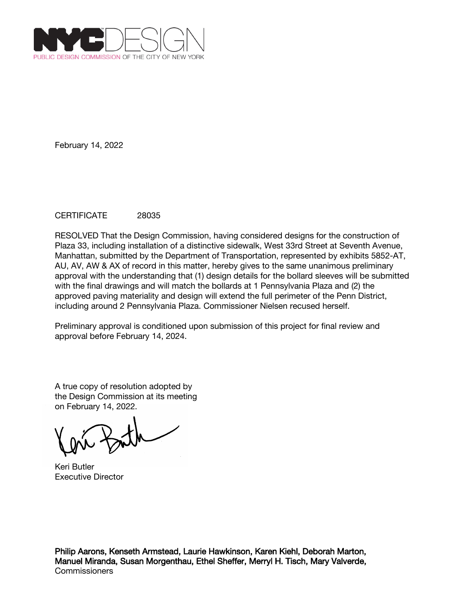

## CERTIFICATE 28035

RESOLVED That the Design Commission, having considered designs for the construction of Plaza 33, including installation of a distinctive sidewalk, West 33rd Street at Seventh Avenue, Manhattan, submitted by the Department of Transportation, represented by exhibits 5852-AT, AU, AV, AW & AX of record in this matter, hereby gives to the same unanimous preliminary approval with the understanding that (1) design details for the bollard sleeves will be submitted with the final drawings and will match the bollards at 1 Pennsylvania Plaza and (2) the approved paving materiality and design will extend the full perimeter of the Penn District, including around 2 Pennsylvania Plaza. Commissioner Nielsen recused herself.

Preliminary approval is conditioned upon submission of this project for final review and approval before February 14, 2024.

A true copy of resolution adopted by the Design Commission at its meeting on February 14, 2022.

Keri Butler Executive Director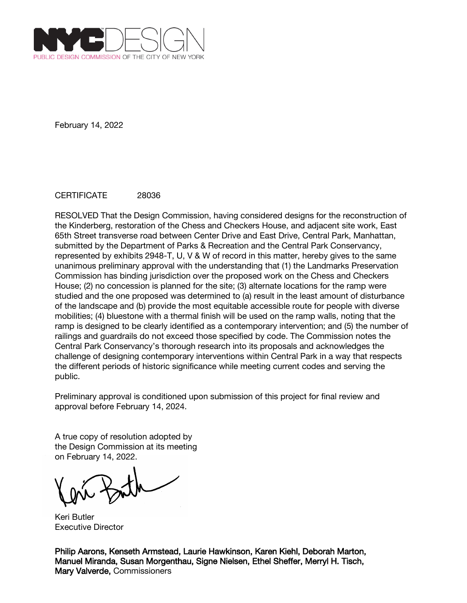

#### CERTIFICATE 28036

RESOLVED That the Design Commission, having considered designs for the reconstruction of the Kinderberg, restoration of the Chess and Checkers House, and adjacent site work, East 65th Street transverse road between Center Drive and East Drive, Central Park, Manhattan, submitted by the Department of Parks & Recreation and the Central Park Conservancy, represented by exhibits 2948-T, U, V & W of record in this matter, hereby gives to the same unanimous preliminary approval with the understanding that (1) the Landmarks Preservation Commission has binding jurisdiction over the proposed work on the Chess and Checkers House; (2) no concession is planned for the site; (3) alternate locations for the ramp were studied and the one proposed was determined to (a) result in the least amount of disturbance of the landscape and (b) provide the most equitable accessible route for people with diverse mobilities; (4) bluestone with a thermal finish will be used on the ramp walls, noting that the ramp is designed to be clearly identified as a contemporary intervention; and (5) the number of railings and guardrails do not exceed those specified by code. The Commission notes the Central Park Conservancy's thorough research into its proposals and acknowledges the challenge of designing contemporary interventions within Central Park in a way that respects the different periods of historic significance while meeting current codes and serving the public.

Preliminary approval is conditioned upon submission of this project for final review and approval before February 14, 2024.

A true copy of resolution adopted by the Design Commission at its meeting on February 14, 2022.

Keri Butler Executive Director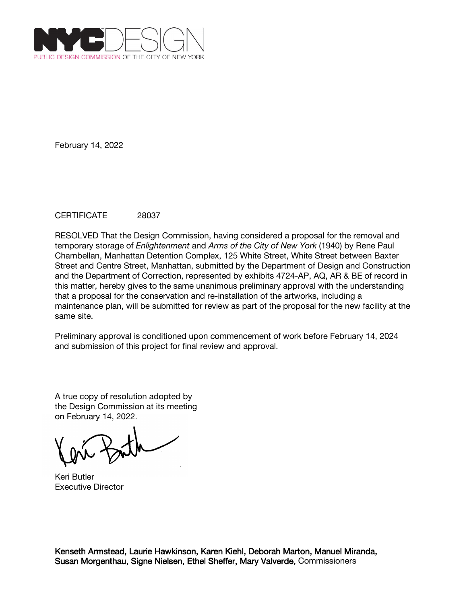

## CERTIFICATE 28037

RESOLVED That the Design Commission, having considered a proposal for the removal and temporary storage of *Enlightenment* and *Arms of the City of New York* (1940) by Rene Paul Chambellan, Manhattan Detention Complex, 125 White Street, White Street between Baxter Street and Centre Street, Manhattan, submitted by the Department of Design and Construction and the Department of Correction, represented by exhibits 4724-AP, AQ, AR & BE of record in this matter, hereby gives to the same unanimous preliminary approval with the understanding that a proposal for the conservation and re-installation of the artworks, including a maintenance plan, will be submitted for review as part of the proposal for the new facility at the same site.

Preliminary approval is conditioned upon commencement of work before February 14, 2024 and submission of this project for final review and approval.

A true copy of resolution adopted by the Design Commission at its meeting on February 14, 2022.

Keri Butler Executive Director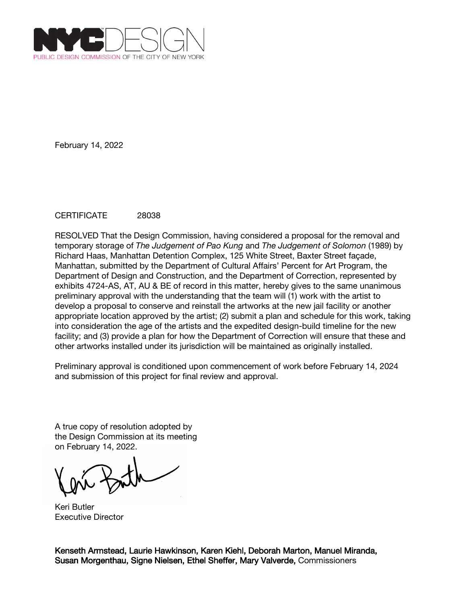

## CERTIFICATE 28038

RESOLVED That the Design Commission, having considered a proposal for the removal and temporary storage of *The Judgement of Pao Kung* and *The Judgement of Solomon* (1989) by Richard Haas, Manhattan Detention Complex, 125 White Street, Baxter Street façade, Manhattan, submitted by the Department of Cultural Affairs' Percent for Art Program, the Department of Design and Construction, and the Department of Correction, represented by exhibits 4724-AS, AT, AU & BE of record in this matter, hereby gives to the same unanimous preliminary approval with the understanding that the team will (1) work with the artist to develop a proposal to conserve and reinstall the artworks at the new jail facility or another appropriate location approved by the artist; (2) submit a plan and schedule for this work, taking into consideration the age of the artists and the expedited design-build timeline for the new facility; and (3) provide a plan for how the Department of Correction will ensure that these and other artworks installed under its jurisdiction will be maintained as originally installed.

Preliminary approval is conditioned upon commencement of work before February 14, 2024 and submission of this project for final review and approval.

A true copy of resolution adopted by the Design Commission at its meeting on February 14, 2022.

Keri Butler Executive Director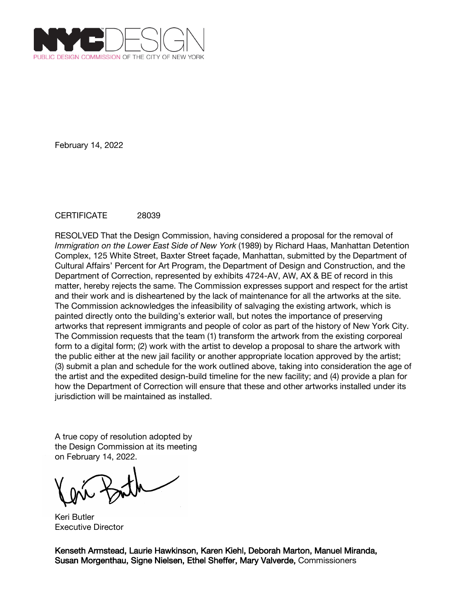

## CERTIFICATE 28039

RESOLVED That the Design Commission, having considered a proposal for the removal of *Immigration on the Lower East Side of New York* (1989) by Richard Haas, Manhattan Detention Complex, 125 White Street, Baxter Street façade, Manhattan, submitted by the Department of Cultural Affairs' Percent for Art Program, the Department of Design and Construction, and the Department of Correction, represented by exhibits 4724-AV, AW, AX & BE of record in this matter, hereby rejects the same. The Commission expresses support and respect for the artist and their work and is disheartened by the lack of maintenance for all the artworks at the site. The Commission acknowledges the infeasibility of salvaging the existing artwork, which is painted directly onto the building's exterior wall, but notes the importance of preserving artworks that represent immigrants and people of color as part of the history of New York City. The Commission requests that the team (1) transform the artwork from the existing corporeal form to a digital form; (2) work with the artist to develop a proposal to share the artwork with the public either at the new jail facility or another appropriate location approved by the artist; (3) submit a plan and schedule for the work outlined above, taking into consideration the age of the artist and the expedited design-build timeline for the new facility; and (4) provide a plan for how the Department of Correction will ensure that these and other artworks installed under its jurisdiction will be maintained as installed.

A true copy of resolution adopted by the Design Commission at its meeting on February 14, 2022.

Keri Butler Executive Director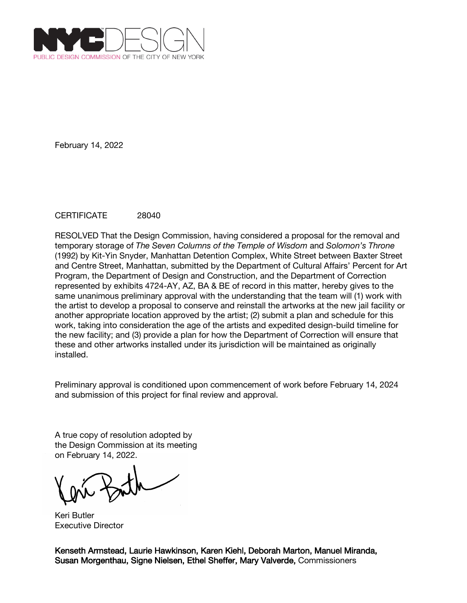

## CERTIFICATE 28040

RESOLVED That the Design Commission, having considered a proposal for the removal and temporary storage of *The Seven Columns of the Temple of Wisdom* and *Solomon's Throne* (1992) by Kit-Yin Snyder, Manhattan Detention Complex, White Street between Baxter Street and Centre Street, Manhattan, submitted by the Department of Cultural Affairs' Percent for Art Program, the Department of Design and Construction, and the Department of Correction represented by exhibits 4724-AY, AZ, BA & BE of record in this matter, hereby gives to the same unanimous preliminary approval with the understanding that the team will (1) work with the artist to develop a proposal to conserve and reinstall the artworks at the new jail facility or another appropriate location approved by the artist; (2) submit a plan and schedule for this work, taking into consideration the age of the artists and expedited design-build timeline for the new facility; and (3) provide a plan for how the Department of Correction will ensure that these and other artworks installed under its jurisdiction will be maintained as originally installed.

Preliminary approval is conditioned upon commencement of work before February 14, 2024 and submission of this project for final review and approval.

A true copy of resolution adopted by the Design Commission at its meeting on February 14, 2022.

Keri Butler Executive Director